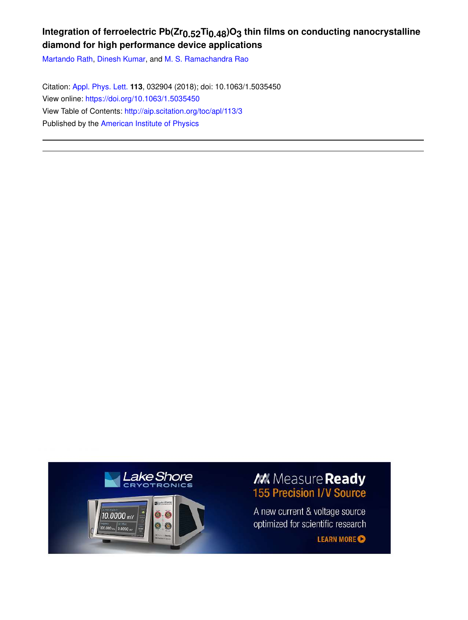## **Integration of ferroelectric Pb(Zr0.52Ti0.48)O3 thin films on conducting nanocrystalline diamond for high performance device applications**

Martando Rath, Dinesh Kumar, and M. S. Ramachandra Rao

Citation: Appl. Phys. Lett. **113**, 032904 (2018); doi: 10.1063/1.5035450 View online: https://doi.org/10.1063/1.5035450 View Table of Contents: http://aip.scitation.org/toc/apl/113/3 Published by the American Institute of Physics



## M. Measure Ready **155 Precision I/V Source**

A new current & voltage source optimized for scientific research

**LEARN MORE**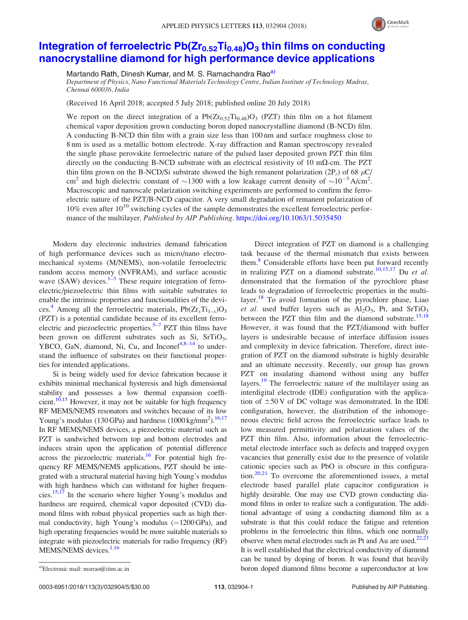

## Integration of ferroelectric  $Pb(Zr_{0.52}Ti_{0.48})O<sub>3</sub>$  thin films on conducting nanocrystalline diamond for high performance device applications

Martando Rath, Dinesh Kumar, and M. S. Ramachandra Rao<sup>a)</sup>

Department of Physics, Nano Functional Materials Technology Centre, Indian Institute of Technology Madras, Chennai 600036, India

(Received 16 April 2018; accepted 5 July 2018; published online 20 July 2018)

We report on the direct integration of a  $Pb(Zr_{0.52}Ti_{0.48})O_3$  (PZT) thin film on a hot filament chemical vapor deposition grown conducting boron doped nanocrystalline diamond (B-NCD) film. A conducting B-NCD thin film with a grain size less than 100 nm and surface roughness close to 8 nm is used as a metallic bottom electrode. X-ray diffraction and Raman spectroscopy revealed the single phase perovskite ferroelectric nature of the pulsed laser deposited grown PZT thin film directly on the conducting B-NCD substrate with an electrical resistivity of 10 m $\Omega$ -cm. The PZT thin film grown on the B-NCD/Si substrate showed the high remanent polarization  $(2P_r)$  of 68  $\mu$ C/ cm<sup>2</sup> and high dielectric constant of  $\sim$ 1300 with a low leakage current density of  $\sim$ 10<sup>-5</sup>A/cm<sup>2</sup>. Macroscopic and nanoscale polarization switching experiments are performed to confirm the ferroelectric nature of the PZT/B-NCD capacitor. A very small degradation of remanent polarization of  $10\%$  even after  $10^{10}$  switching cycles of the sample demonstrates the excellent ferroelectric performance of the multilayer. Published by AIP Publishing. https://doi.org/10.1063/1.5035450

Modern day electronic industries demand fabrication of high performance devices such as micro/nano electromechanical systems (M/NEMS), non-volatile ferroelectric random access memory (NVFRAM), and surface acoustic wave  $(SAW)$  devices.<sup>1-3</sup> These require integration of ferroelectric/piezoelectric thin films with suitable substrates to enable the intrinsic properties and functionalities of the devices.<sup>4</sup> Among all the ferroelectric materials,  $Pb(Zr_xTi_{1-x})O_3$ (PZT) is a potential candidate because of its excellent ferroelectric and piezoelectric properties.<sup>5-7</sup> PZT thin films have been grown on different substrates such as Si, SrTiO<sub>3</sub>, YBCO, GaN, diamond, Ni, Cu, and Inconel $4,8-14$  to understand the influence of substrates on their functional properties for intended applications.

Si is being widely used for device fabrication because it exhibits minimal mechanical hysteresis and high dimensional stability and possesses a low thermal expansion coefficient.<sup>10,15</sup> However, it may not be suitable for high frequency RF MEMS/NEMS resonators and switches because of its low Young's modulus  $(130 \text{ GPa})$  and hardness  $(1000 \text{ kg/mm}^2)$ .<sup>16,17</sup> In RF MEMS/NEMS devices, a piezoelectric material such as PZT is sandwiched between top and bottom electrodes and induces strain upon the application of potential difference across the piezoelectric materials.<sup>16</sup> For potential high frequency RF MEMS/NEMS applications, PZT should be integrated with a structural material having high Young's modulus with high hardness which can withstand for higher frequencies.<sup>15,17</sup> In the scenario where higher Young's modulus and hardness are required, chemical vapor deposited (CVD) diamond films with robust physical properties such as high thermal conductivity, high Young's modulus  $(=1200 \text{ GPa})$ , and high operating frequencies would be more suitable materials to integrate with piezoelectric materials for radio frequency (RF) MEMS/NEMS devices.<sup>1,16</sup>

Direct integration of PZT on diamond is a challenging task because of the thermal mismatch that exists between them.<sup>8</sup> Considerable efforts have been put forward recently in realizing PZT on a diamond substrate.<sup>10,15,17</sup> Du *et al.* demonstrated that the formation of the pyrochlore phase leads to degradation of ferroelectric properties in the multilayer.<sup>18</sup> To avoid formation of the pyrochlore phase, Liao et al. used buffer layers such as  $Al_2O_3$ , Pt, and SrTiO<sub>3</sub> between the PZT thin film and the diamond substrate.<sup>15,18</sup> However, it was found that the PZT/diamond with buffer layers is undesirable because of interface diffusion issues and complexity in device fabrication. Therefore, direct integration of PZT on the diamond substrate is highly desirable and an ultimate necessity. Recently, our group has grown PZT on insulating diamond without using any buffer layers.<sup>19</sup> The ferroelectric nature of the multilayer using an interdigital electrode (IDE) configuration with the application of  $\pm 50$  V of DC voltage was demonstrated. In the IDE configuration, however, the distribution of the inhomogeneous electric field across the ferroelectric surface leads to low measured permittivity and polarization values of the PZT thin film. Also, information about the ferroelectricmetal electrode interface such as defects and trapped oxygen vacancies that generally exist due to the presence of volatile cationic species such as PbO is obscure in this configuration.<sup>20,21</sup> To overcome the aforementioned issues, a metal electrode based parallel plate capacitor configuration is highly desirable. One may use CVD grown conducting diamond films in order to realize such a configuration. The additional advantage of using a conducting diamond film as a substrate is that this could reduce the fatigue and retention problems in the ferroelectric thin films, which one normally observe when metal electrodes such as Pt and Au are used. $22,23$ It is well established that the electrical conductivity of diamond can be tuned by doping of boron. It was found that heavily a)Electronic mail: msrrao@iitm.ac.in boron doped diamond films become a superconductor at low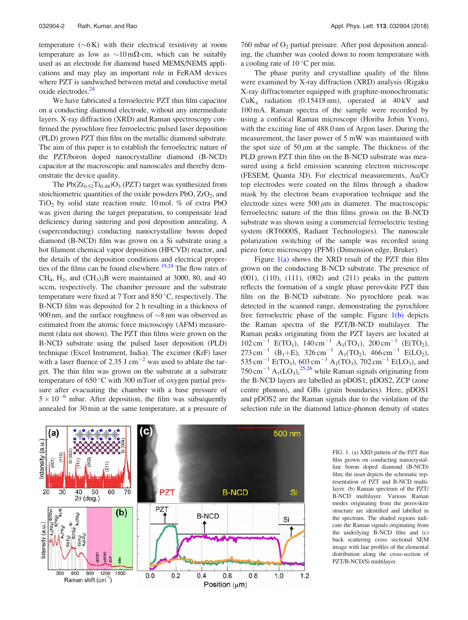temperature  $({\sim}6\,\text{K})$  with their electrical resistivity at room temperature as low as  $\sim 10 \text{ m}\Omega$ -cm, which can be suitably used as an electrode for diamond based MEMS/NEMS applications and may play an important role in FeRAM devices where PZT is sandwiched between metal and conductive metal oxide electrodes.<sup>24</sup>

We have fabricated a ferroelectric PZT thin film capacitor on a conducting diamond electrode, without any intermediate layers. X-ray diffraction (XRD) and Raman spectroscopy confirmed the pyrochlore free ferroelectric pulsed laser deposition (PLD) grown PZT thin film on the metallic diamond substrate. The aim of this paper is to establish the ferroelectric nature of the PZT/boron doped nanocrystalline diamond (B-NCD) capacitor at the macroscopic and nanoscales and thereby demonstrate the device quality.

The  $Pb(Zr_{0.52}Ti_{0.48})O_3$  (PZT) target was synthesized from stoichiometric quantities of the oxide powders  $PbO$ ,  $ZrO<sub>2</sub>$ , and  $TiO<sub>2</sub>$  by solid state reaction route. 10 mol. % of extra PbO was given during the target preparation, to compensate lead deficiency during sintering and post deposition annealing. A (superconducting) conducting nanocrystalline boron doped diamond (B-NCD) film was grown on a Si substrate using a hot filament chemical vapor deposition (HFCVD) reactor, and the details of the deposition conditions and electrical properties of the films can be found elsewhere.<sup>19,24</sup> The flow rates of  $CH<sub>4</sub>$ ,  $H<sub>2</sub>$ , and  $(CH<sub>3</sub>)<sub>3</sub>B$  were maintained at 3000, 80, and 40 sccm, respectively. The chamber pressure and the substrate temperature were fixed at 7 Torr and  $850^{\circ}$ C, respectively. The B-NCD film was deposited for 2 h resulting in a thickness of 900 nm, and the surface roughness of  $\sim$ 8 nm was observed as estimated from the atomic force microscopy (AFM) measurement (data not shown). The PZT thin films were grown on the B-NCD substrate using the pulsed laser deposition (PLD) technique (Excel Instrument, India). The excimer (KrF) laser with a laser fluence of 2.35 J  $cm^{-2}$  was used to ablate the target. The thin film was grown on the substrate at a substrate temperature of  $650^{\circ}$ C with 300 mTorr of oxygen partial pressure after evacuating the chamber with a base pressure of  $5 \times 10^{-6}$  mbar. After deposition, the film was subsequently annealed for 30 min at the same temperature, at a pressure of  $760$  mbar of  $O<sub>2</sub>$  partial pressure. After post deposition annealing, the chamber was cooled down to room temperature with a cooling rate of  $10^{\circ}$ C per min.

The phase purity and crystalline quality of the films were examined by X-ray diffraction (XRD) analysis (Rigaku X-ray diffractometer equipped with graphite-monochromatic  $CuK<sub>\alpha</sub>$  radiation (0.15418 nm), operated at 40 kV and 100 mA. Raman spectra of the sample were recorded by using a confocal Raman microscope (Horiba Jobin Yvon), with the exciting line of 488.0 nm of Argon laser. During the measurement, the laser power of 5 mW was maintained with the spot size of 50  $\mu$ m at the sample. The thickness of the PLD grown PZT thin film on the B-NCD substrate was measured using a field emission scanning electron microscope (FESEM, Quanta 3D). For electrical measurements, Au/Cr top electrodes were coated on the films through a shadow mask by the electron beam evaporation technique and the electrode sizes were  $500 \mu m$  in diameter. The macroscopic ferroelectric nature of the thin films grown on the B-NCD substrate was shown using a commercial ferroelectric testing system (RT6000S, Radiant Technologies). The nanoscale polarization switching of the sample was recorded using piezo force microscopy (PFM) (Dimension edge, Bruker).

Figure  $1(a)$  shows the XRD result of the PZT thin film grown on the conducting B-NCD substrate. The presence of (001), (110), (111), (002) and (211) peaks in the pattern reflects the formation of a single phase perovskite PZT thin film on the B-NCD substrate. No pyrochlore peak was detected in the scanned range, demonstrating the pyrochlore free ferroelectric phase of the sample. Figure 1(b) depicts the Raman spectra of the PZT/B-NCD multilayer. The Raman peaks originating from the PZT layers are located at  $102 \text{ cm}^{-1}$  E(TO<sub>1</sub>),  $140 \text{ cm}^{-1}$  A<sub>1</sub>(TO<sub>1</sub>),  $200 \text{ cm}^{-1}$  (E(TO<sub>2</sub>),  $273 \text{ cm}^{-1}$  (B<sub>1</sub>+E),  $326 \text{ cm}^{-1}$  A<sub>1</sub>(TO<sub>2</sub>),  $466 \text{ cm}^{-1}$  E(LO<sub>2</sub>), 535 cm<sup>-1</sup> E(TO<sub>3</sub>), 603 cm<sup>-1</sup> A<sub>1</sub>(TO<sub>3</sub>), 702 cm<sup>-1</sup> E(LO<sub>3</sub>), and  $750 \text{ cm}^{-1}$  A<sub>1</sub>(LO<sub>3</sub>),<sup>25,26</sup> while Raman signals originating from the B-NCD layers are labelled as pDOS1, pDOS2, ZCP (zone centre phonon), and GBs (grain boundaries). Here, pDOS1 and pDOS2 are the Raman signals due to the violation of the selection rule in the diamond lattice-phonon density of states



FIG. 1. (a) XRD pattern of the PZT thin film grown on conducting nanocrystalline boron doped diamond (B-NCD) film; the inset depicts the schematic representation of PZT and B-NCD multilayer. (b) Raman spectrum of the PZT/ B-NCD multilayer. Various Raman modes originating from the perovskite structure are identified and labelled in the spectrum. The shaded regions indicate the Raman signals originating from the underlying B-NCD film and (c) back scattering cross sectional SEM image with line profiles of the elemental distribution along the cross-section of PZT/B-NCD/Si multilayer.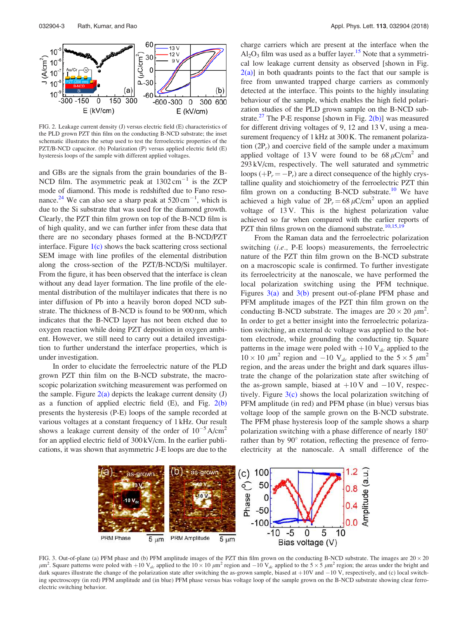

FIG. 2. Leakage current density (J) versus electric field (E) characteristics of the PLD grown PZT thin film on the conducting B-NCD substrate; the inset schematic illustrates the setup used to test the ferroelectric properties of the PZT/B-NCD capacitor. (b) Polarization (P) versus applied electric field (E) hysteresis loops of the sample with different applied voltages.

and GBs are the signals from the grain boundaries of the B-NCD film. The asymmetric peak at  $1302 \text{ cm}^{-1}$  is the ZCP mode of diamond. This mode is redshifted due to Fano resonance.<sup>24</sup> We can also see a sharp peak at  $520 \text{ cm}^{-1}$ , which is due to the Si substrate that was used for the diamond growth. Clearly, the PZT thin film grown on top of the B-NCD film is of high quality, and we can further infer from these data that there are no secondary phases formed at the B-NCD/PZT interface. Figure  $1(c)$  shows the back scattering cross sectional SEM image with line profiles of the elemental distribution along the cross-section of the PZT/B-NCD/Si multilayer. From the figure, it has been observed that the interface is clean without any dead layer formation. The line profile of the elemental distribution of the multilayer indicates that there is no inter diffusion of Pb into a heavily boron doped NCD substrate. The thickness of B-NCD is found to be 900 nm, which indicates that the B-NCD layer has not been etched due to oxygen reaction while doing PZT deposition in oxygen ambient. However, we still need to carry out a detailed investigation to further understand the interface properties, which is under investigation.

In order to elucidate the ferroelectric nature of the PLD grown PZT thin film on the B-NCD substrate, the macroscopic polarization switching measurement was performed on the sample. Figure  $2(a)$  depicts the leakage current density (J) as a function of applied electric field  $(E)$ , and Fig.  $2(b)$ presents the hysteresis (P-E) loops of the sample recorded at various voltages at a constant frequency of 1 kHz. Our result shows a leakage current density of the order of  $10^{-5}$  A/cm<sup>2</sup> for an applied electric field of 300 kV/cm. In the earlier publications, it was shown that asymmetric J-E loops are due to the charge carriers which are present at the interface when the  $\text{Al}_2\text{O}_3$  film was used as a buffer layer.<sup>15</sup> Note that a symmetrical low leakage current density as observed [shown in Fig.  $2(a)$ ] in both quadrants points to the fact that our sample is free from unwanted trapped charge carriers as commonly detected at the interface. This points to the highly insulating behaviour of the sample, which enables the high field polarization studies of the PLD grown sample on the B-NCD substrate.<sup>27</sup> The P-E response [shown in Fig.  $2(b)$ ] was measured for different driving voltages of 9, 12 and 13 V, using a measurement frequency of 1 kHz at 300 K. The remanent polarization  $(2P_r)$  and coercive field of the sample under a maximum applied voltage of 13 V were found to be  $68 \mu$ C/cm<sup>2</sup> and 293 kV/cm, respectively. The well saturated and symmetric loops  $(+P_r = -P_r)$  are a direct consequence of the highly crystalline quality and stoichiometry of the ferroelectric PZT thin film grown on a conducting B-NCD substrate.<sup>10</sup> We have achieved a high value of  $2P_r = 68 \,\mu\text{C/cm}^2$  upon an applied voltage of 13 V. This is the highest polarization value achieved so far when compared with the earlier reports of PZT thin films grown on the diamond substrate.<sup>10,15,19</sup>

From the Raman data and the ferroelectric polarization switching (i.e., P-E loops) measurements, the ferroelectric nature of the PZT thin film grown on the B-NCD substrate on a macroscopic scale is confirmed. To further investigate its ferroelectricity at the nanoscale, we have performed the local polarization switching using the PFM technique. Figures 3(a) and 3(b) present out-of-plane PFM phase and PFM amplitude images of the PZT thin film grown on the conducting B-NCD substrate. The images are  $20 \times 20 \ \mu \text{m}^2$ . In order to get a better insight into the ferroelectric polarization switching, an external dc voltage was applied to the bottom electrode, while grounding the conducting tip. Square patterns in the image were poled with  $+10$  V<sub>dc</sub> applied to the  $10 \times 10 \mu m^2$  region and  $-10$  V<sub>dc</sub> applied to the  $5 \times 5 \mu m^2$ region, and the areas under the bright and dark squares illustrate the change of the polarization state after switching of the as-grown sample, biased at  $+10$  V and  $-10$  V, respectively. Figure  $3(c)$  shows the local polarization switching of PFM amplitude (in red) and PFM phase (in blue) versus bias voltage loop of the sample grown on the B-NCD substrate. The PFM phase hysteresis loop of the sample shows a sharp polarization switching with a phase difference of nearly 180 rather than by 90° rotation, reflecting the presence of ferroelectricity at the nanoscale. A small difference of the



FIG. 3. Out-of-plane (a) PFM phase and (b) PFM amplitude images of the PZT thin film grown on the conducting B-NCD substrate. The images are  $20 \times 20$  $\mu$ m<sup>2</sup>. Square patterns were poled with +10 V<sub>dc</sub> applied to the 10 × 10  $\mu$ m<sup>2</sup> region and -10 V<sub>dc</sub> applied to the 5 × 5  $\mu$ m<sup>2</sup> region; the areas under the bright and dark squares illustrate the change of the polarization state after switching the as-grown sample, biased at  $+10V$  and  $-10V$ , respectively, and (c) local switching spectroscopy (in red) PFM amplitude and (in blue) PFM phase versus bias voltage loop of the sample grown on the B-NCD substrate showing clear ferroelectric switching behavior.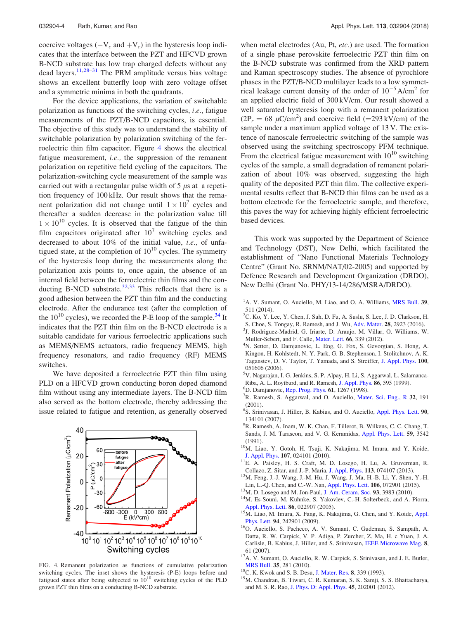coercive voltages  $(-V_c$  and  $+V_c)$  in the hysteresis loop indicates that the interface between the PZT and HFCVD grown B-NCD substrate has low trap charged defects without any dead layers.<sup>11,28–31</sup> The PRM amplitude versus bias voltage shows an excellent butterfly loop with zero voltage offset and a symmetric minima in both the quadrants.

For the device applications, the variation of switchable polarization as functions of the switching cycles, i.e., fatigue measurements of the PZT/B-NCD capacitors, is essential. The objective of this study was to understand the stability of switchable polarization by polarization switching of the ferroelectric thin film capacitor. Figure 4 shows the electrical fatigue measurement, *i.e.*, the suppression of the remanent polarization on repetitive field cycling of the capacitors. The polarization-switching cycle measurement of the sample was carried out with a rectangular pulse width of  $5 \mu s$  at a repetition frequency of 100 kHz. Our result shows that the remanent polarization did not change until  $1 \times 10^7$  cycles and thereafter a sudden decrease in the polarization value till  $1 \times 10^{10}$  cycles. It is observed that the fatigue of the thin film capacitors originated after  $10^7$  switching cycles and decreased to about 10% of the initial value, *i.e.*, of unfatigued state, at the completion of  $10^{10}$  cycles. The symmetry of the hysteresis loop during the measurements along the polarization axis points to, once again, the absence of an internal field between the ferroelectric thin films and the conducting B-NCD substrate.<sup>32,33</sup> This reflects that there is a good adhesion between the PZT thin film and the conducting electrode. After the endurance test (after the completion of the  $10^{10}$  cycles), we recorded the P-E loop of the sample.<sup>34</sup> It indicates that the PZT thin film on the B-NCD electrode is a suitable candidate for various ferroelectric applications such as MEMS/NEMS actuators, radio frequency MEMS, high frequency resonators, and radio frequency (RF) MEMS switches.

We have deposited a ferroelectric PZT thin film using PLD on a HFCVD grown conducting boron doped diamond film without using any intermediate layers. The B-NCD film also served as the bottom electrode, thereby addressing the issue related to fatigue and retention, as generally observed



FIG. 4. Remanent polarization as functions of cumulative polarization switching cycles. The inset shows the hysteresis (P-E) loops before and fatigued states after being subjected to  $10^{10}$  switching cycles of the PLD grown PZT thin films on a conducting B-NCD substrate.

when metal electrodes (Au, Pt, etc.) are used. The formation of a single phase perovskite ferroelectric PZT thin film on the B-NCD substrate was confirmed from the XRD pattern and Raman spectroscopy studies. The absence of pyrochlore phases in the PZT/B-NCD multilayer leads to a low symmetrical leakage current density of the order of  $10^{-5}$  A/cm<sup>2</sup> for an applied electric field of 300 kV/cm. Our result showed a well saturated hysteresis loop with a remanent polarization  $(2P_r = 68 \mu C/cm^2)$  and coercive field (=293 kV/cm) of the sample under a maximum applied voltage of 13 V. The existence of nanoscale ferroelectric switching of the sample was observed using the switching spectroscopy PFM technique. From the electrical fatigue measurement with  $10^{10}$  switching cycles of the sample, a small degradation of remanent polarization of about 10% was observed, suggesting the high quality of the deposited PZT thin film. The collective experimental results reflect that B-NCD thin films can be used as a bottom electrode for the ferroelectric sample, and therefore, this paves the way for achieving highly efficient ferroelectric based devices.

This work was supported by the Department of Science and Technology (DST), New Delhi, which facilitated the establishment of "Nano Functional Materials Technology Centre" (Grant No. SRNM/NAT/02-2005) and supported by Defence Research and Development Organization (DRDO), New Delhi (Grant No. PHY/13-14/286/MSRA/DRDO).

- ${}^{1}$ A. V. Sumant, O. Auciello, M. Liao, and O. A. Williams, MRS Bull. 39, 511 (2014).
- <sup>2</sup>C. Ko, Y. Lee, Y. Chen, J. Suh, D. Fu, A. Suslu, S. Lee, J. D. Clarkson, H.
- S. Choe, S. Tongay, R. Ramesh, and J. Wu, Adv. Mater. 28, 2923 (2016).
- 3 J. Rodriguez-Madrid, G. Iriarte, D. Araujo, M. Villar, O. Williams, W.
- Muller-Sebert, and F. Calle, Mater. Lett. 66, 339 (2012).
- <sup>4</sup>N. Setter, D. Damjanovic, L. Eng, G. Fox, S. Gevorgian, S. Hong, A. Kingon, H. Kohlstedt, N. Y. Park, G. B. Stephenson, I. Stolitchnov, A. K. Taganstev, D. V. Taylor, T. Yamada, and S. Streiffer, J. Appl. Phys. 100, 051606 (2006).
- <sup>5</sup>V. Nagarajan, I. G. Jenkins, S. P. Alpay, H. Li, S. Aggarwal, L. Salamanca-Riba, A. L. Roytburd, and R. Ramesh, J. Appl. Phys. 86, 595 (1999).
- <sup>6</sup>D. Damjanovic, Rep. Prog. Phys. 61, 1267 (1998).
- ${}^{7}R$ . Ramesh, S. Aggarwal, and O. Auciello, Mater. Sci. Eng., R 32, 191 (2001).
- <sup>8</sup>S. Srinivasan, J. Hiller, B. Kabius, and O. Auciello, Appl. Phys. Lett. 90, 134101 (2007).
- <sup>9</sup>R. Ramesh, A. Inam, W. K. Chan, F. Tillerot, B. Wilkens, C. C. Chang, T. Sands, J. M. Tarascon, and V. G. Keramidas, Appl. Phys. Lett. 59, 3542 (1991).
- <sup>10</sup>M. Liao, Y. Gotoh, H. Tsuji, K. Nakajima, M. Imura, and Y. Koide, J. Appl. Phys. 107, 024101 (2010).
- <sup>11</sup>E. A. Paisley, H. S. Craft, M. D. Losego, H. Lu, A. Gruverman, R. Collazo, Z. Sitar, and J.-P. Maria, J. Appl. Phys. 113, 074107 (2013).
- <sup>12</sup>M. Feng, J.-J. Wang, J.-M. Hu, J. Wang, J. Ma, H.-B. Li, Y. Shen, Y.-H. Lin, L.-Q. Chen, and C.-W. Nan, Appl. Phys. Lett. 106, 072901 (2015).
- <sup>13</sup>M. D. Losego and M. Jon-Paul, J. Am. Ceram. Soc. 93, 3983 (2010).
- <sup>14</sup>M. Es-Souni, M. Kuhnke, S. Yakovlev, C.-H. Solterbeck, and A. Piorra, Appl. Phys. Lett. **86**, 022907 (2005).
- <sup>15</sup>M. Liao, M. Imura, X. Fang, K. Nakajima, G. Chen, and Y. Koide, Appl. Phys. Lett. 94, 242901 (2009).
- <sup>16</sup>O. Auciello, S. Pacheco, A. V. Sumant, C. Gudeman, S. Sampath, A. Datta, R. W. Carpick, V. P. Adiga, P. Zurcher, Z. Ma, H. c Yuan, J. A. Carlisle, B. Kabius, J. Hiller, and S. Srinivasan, IEEE Microwave Mag. 8, 61 (2007).
- <sup>17</sup>A. V. Sumant, O. Auciello, R. W. Carpick, S. Srinivasan, and J. E. Butler, MRS Bull. 35, 281 (2010).
- <sup>18</sup>C. K. Kwok and S. B. Desu, J. Mater. Res. 8, 339 (1993).
- <sup>19</sup>M. Chandran, B. Tiwari, C. R. Kumaran, S. K. Samji, S. S. Bhattacharya, and M. S. R. Rao, J. Phys. D: Appl. Phys. 45, 202001 (2012).